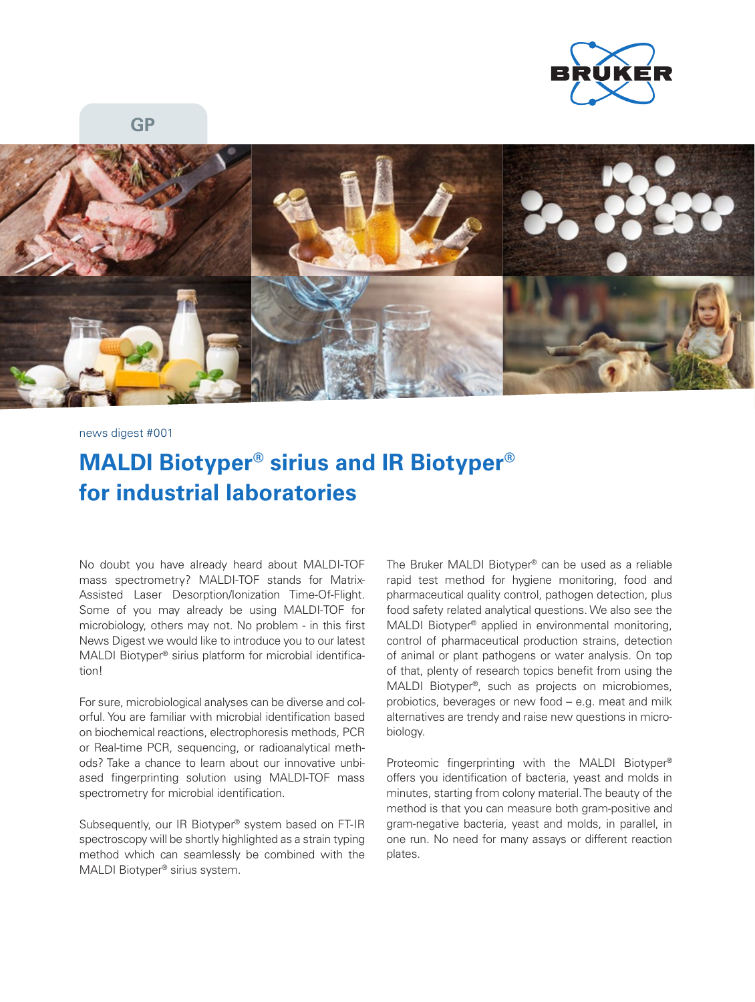

**GP**



news digest #001

## **MALDI Biotyper® sirius and IR Biotyper® for industrial laboratories**

No doubt you have already heard about MALDI-TOF mass spectrometry? MALDI-TOF stands for Matrix-Assisted Laser Desorption/Ionization Time-Of-Flight. Some of you may already be using MALDI-TOF for microbiology, others may not. No problem - in this first News Digest we would like to introduce you to our latest MALDI Biotyper® sirius platform for microbial identification!

For sure, microbiological analyses can be diverse and colorful. You are familiar with microbial identification based on biochemical reactions, electrophoresis methods, PCR or Real-time PCR, sequencing, or radioanalytical methods? Take a chance to learn about our innovative unbiased fingerprinting solution using MALDI-TOF mass spectrometry for microbial identification.

Subsequently, our IR Biotyper® system based on FT-IR spectroscopy will be shortly highlighted as a strain typing method which can seamlessly be combined with the MALDI Biotyper® sirius system.

The Bruker MALDI Biotyper® can be used as a reliable rapid test method for hygiene monitoring, food and pharmaceutical quality control, pathogen detection, plus food safety related analytical questions. We also see the MALDI Biotyper® applied in environmental monitoring, control of pharmaceutical production strains, detection of animal or plant pathogens or water analysis. On top of that, plenty of research topics benefit from using the MALDI Biotyper®, such as projects on microbiomes, probiotics, beverages or new food – e.g. meat and milk alternatives are trendy and raise new questions in microbiology.

Proteomic fingerprinting with the MALDI Biotyper® offers you identification of bacteria, yeast and molds in minutes, starting from colony material. The beauty of the method is that you can measure both gram-positive and gram-negative bacteria, yeast and molds, in parallel, in one run. No need for many assays or different reaction plates.